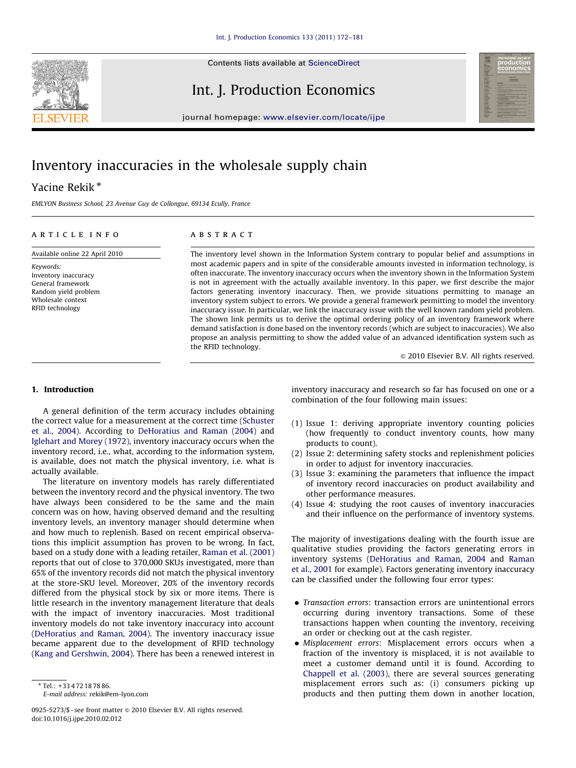

### Int. J. Production Economics



journal homepage: <www.elsevier.com/locate/ijpe>

## Inventory inaccuracies in the wholesale supply chain

### Yacine Rekik<sup>\*</sup>

EMLYON Business School, 23 Avenue Guy de Collongue, 69134 Ecully, France

#### article info

Available online 22 April 2010

Keywords: Inventory inaccuracy General framework Random yield problem Wholesale context RFID technology

#### **ABSTRACT**

The inventory level shown in the Information System contrary to popular belief and assumptions in most academic papers and in spite of the considerable amounts invested in information technology, is often inaccurate. The inventory inaccuracy occurs when the inventory shown in the Information System is not in agreement with the actually available inventory. In this paper, we first describe the major factors generating inventory inaccuracy. Then, we provide situations permitting to manage an inventory system subject to errors. We provide a general framework permitting to model the inventory inaccuracy issue. In particular, we link the inaccuracy issue with the well known random yield problem. The shown link permits us to derive the optimal ordering policy of an inventory framework where demand satisfaction is done based on the inventory records (which are subject to inaccuracies). We also propose an analysis permitting to show the added value of an advanced identification system such as the RFID technology.

 $\odot$  2010 Elsevier B.V. All rights reserved.

#### 1. Introduction

A general definition of the term accuracy includes obtaining the correct value for a measurement at the correct time [\(Schuster](#page--1-0) [et al., 2004\)](#page--1-0). According to [DeHoratius and Raman \(2004\)](#page--1-0) and [Iglehart and Morey \(1972\),](#page--1-0) inventory inaccuracy occurs when the inventory record, i.e., what, according to the information system, is available, does not match the physical inventory, i.e. what is actually available.

The literature on inventory models has rarely differentiated between the inventory record and the physical inventory. The two have always been considered to be the same and the main concern was on how, having observed demand and the resulting inventory levels, an inventory manager should determine when and how much to replenish. Based on recent empirical observations this implicit assumption has proven to be wrong. In fact, based on a study done with a leading retailer, [Raman et al. \(2001\)](#page--1-0) reports that out of close to 370,000 SKUs investigated, more than 65% of the inventory records did not match the physical inventory at the store-SKU level. Moreover, 20% of the inventory records differed from the physical stock by six or more items. There is little research in the inventory management literature that deals with the impact of inventory inaccuracies. Most traditional inventory models do not take inventory inaccuracy into account ([DeHoratius and Raman, 2004](#page--1-0)). The inventory inaccuracy issue became apparent due to the development of RFID technology ([Kang and Gershwin, 2004](#page--1-0)). There has been a renewed interest in

0925-5273/\$ - see front matter  $\circ$  2010 Elsevier B.V. All rights reserved. doi:[10.1016/j.ijpe.2010.02.012](dx.doi.org/10.1016/j.ijpe.2010.02.012)

inventory inaccuracy and research so far has focused on one or a combination of the four following main issues:

- (1) Issue 1: deriving appropriate inventory counting policies (how frequently to conduct inventory counts, how many products to count).
- (2) Issue 2: determining safety stocks and replenishment policies in order to adjust for inventory inaccuracies.
- (3) Issue 3: examining the parameters that influence the impact of inventory record inaccuracies on product availability and other performance measures.
- (4) Issue 4: studying the root causes of inventory inaccuracies and their influence on the performance of inventory systems.

The majority of investigations dealing with the fourth issue are qualitative studies providing the factors generating errors in inventory systems ([DeHoratius and Raman, 2004](#page--1-0) and [Raman](#page--1-0) [et al., 2001](#page--1-0) for example). Factors generating inventory inaccuracy can be classified under the following four error types:

- Transaction errors: transaction errors are unintentional errors occurring during inventory transactions. Some of these transactions happen when counting the inventory, receiving an order or checking out at the cash register.
- · Misplacement errors: Misplacement errors occurs when a fraction of the inventory is misplaced, it is not available to meet a customer demand until it is found. According to [Chappell et al. \(2003\)](#page--1-0), there are several sources generating misplacement errors such as: (i) consumers picking up products and then putting them down in another location,

<sup>-</sup> Tel.: +33 4 72 18 78 86.

E-mail address: [rekik@em-lyon.com](mailto:rekik@em-lyon.com)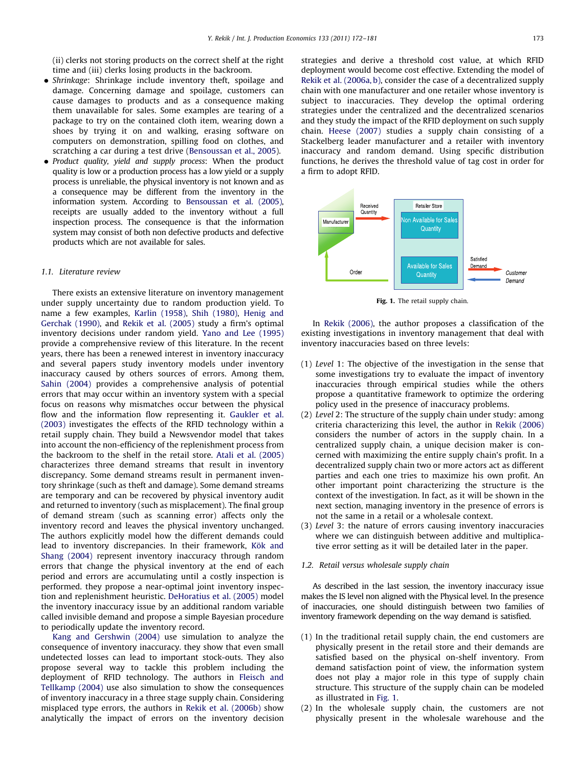(ii) clerks not storing products on the correct shelf at the right time and (iii) clerks losing products in the backroom.

- Shrinkage: Shrinkage include inventory theft, spoilage and damage. Concerning damage and spoilage, customers can cause damages to products and as a consequence making them unavailable for sales. Some examples are tearing of a package to try on the contained cloth item, wearing down a shoes by trying it on and walking, erasing software on computers on demonstration, spilling food on clothes, and scratching a car during a test drive ([Bensoussan et al., 2005\)](#page--1-0).
- Product quality, yield and supply process: When the product quality is low or a production process has a low yield or a supply process is unreliable, the physical inventory is not known and as a consequence may be different from the inventory in the information system. According to [Bensoussan et al. \(2005\),](#page--1-0) receipts are usually added to the inventory without a full inspection process. The consequence is that the information system may consist of both non defective products and defective products which are not available for sales.

#### 1.1. Literature review

There exists an extensive literature on inventory management under supply uncertainty due to random production yield. To name a few examples, [Karlin \(1958\)](#page--1-0), [Shih \(1980\),](#page--1-0) [Henig and](#page--1-0) [Gerchak \(1990\)](#page--1-0), and [Rekik et al. \(2005\)](#page--1-0) study a firm's optimal inventory decisions under random yield. [Yano and Lee \(1995\)](#page--1-0) provide a comprehensive review of this literature. In the recent years, there has been a renewed interest in inventory inaccuracy and several papers study inventory models under inventory inaccuracy caused by others sources of errors. Among them, [Sahin \(2004\)](#page--1-0) provides a comprehensive analysis of potential errors that may occur within an inventory system with a special focus on reasons why mismatches occur between the physical flow and the information flow representing it. [Gaukler et al.](#page--1-0) [\(2003\)](#page--1-0) investigates the effects of the RFID technology within a retail supply chain. They build a Newsvendor model that takes into account the non-efficiency of the replenishment process from the backroom to the shelf in the retail store. [Atali et al. \(2005\)](#page--1-0) characterizes three demand streams that result in inventory discrepancy. Some demand streams result in permanent inventory shrinkage (such as theft and damage). Some demand streams are temporary and can be recovered by physical inventory audit and returned to inventory (such as misplacement). The final group of demand stream (such as scanning error) affects only the inventory record and leaves the physical inventory unchanged. The authors explicitly model how the different demands could lead to inventory discrepancies. In their framework, Kök and [Shang \(2004\)](#page--1-0) represent inventory inaccuracy through random errors that change the physical inventory at the end of each period and errors are accumulating until a costly inspection is performed. they propose a near-optimal joint inventory inspection and replenishment heuristic. [DeHoratius et al. \(2005\)](#page--1-0) model the inventory inaccuracy issue by an additional random variable called invisible demand and propose a simple Bayesian procedure to periodically update the inventory record.

[Kang and Gershwin \(2004\)](#page--1-0) use simulation to analyze the consequence of inventory inaccuracy. they show that even small undetected losses can lead to important stock-outs. They also propose several way to tackle this problem including the deployment of RFID technology. The authors in [Fleisch and](#page--1-0) [Tellkamp \(2004\)](#page--1-0) use also simulation to show the consequences of inventory inaccuracy in a three stage supply chain. Considering misplaced type errors, the authors in [Rekik et al. \(2006b\)](#page--1-0) show analytically the impact of errors on the inventory decision

strategies and derive a threshold cost value, at which RFID deployment would become cost effective. Extending the model of [Rekik et al. \(2006a, b\),](#page--1-0) consider the case of a decentralized supply chain with one manufacturer and one retailer whose inventory is subject to inaccuracies. They develop the optimal ordering strategies under the centralized and the decentralized scenarios and they study the impact of the RFID deployment on such supply chain. [Heese \(2007\)](#page--1-0) studies a supply chain consisting of a Stackelberg leader manufacturer and a retailer with inventory inaccuracy and random demand. Using specific distribution functions, he derives the threshold value of tag cost in order for a firm to adopt RFID.



Fig. 1. The retail supply chain.

In [Rekik \(2006\),](#page--1-0) the author proposes a classification of the existing investigations in inventory management that deal with inventory inaccuracies based on three levels:

- (1) Level 1: The objective of the investigation in the sense that some investigations try to evaluate the impact of inventory inaccuracies through empirical studies while the others propose a quantitative framework to optimize the ordering policy used in the presence of inaccuracy problems.
- (2) Level 2: The structure of the supply chain under study: among criteria characterizing this level, the author in [Rekik \(2006\)](#page--1-0) considers the number of actors in the supply chain. In a centralized supply chain, a unique decision maker is concerned with maximizing the entire supply chain's profit. In a decentralized supply chain two or more actors act as different parties and each one tries to maximize his own profit. An other important point characterizing the structure is the context of the investigation. In fact, as it will be shown in the next section, managing inventory in the presence of errors is not the same in a retail or a wholesale context.
- (3) Level 3: the nature of errors causing inventory inaccuracies where we can distinguish between additive and multiplicative error setting as it will be detailed later in the paper.

#### 1.2. Retail versus wholesale supply chain

As described in the last session, the inventory inaccuracy issue makes the IS level non aligned with the Physical level. In the presence of inaccuracies, one should distinguish between two families of inventory framework depending on the way demand is satisfied.

- (1) In the traditional retail supply chain, the end customers are physically present in the retail store and their demands are satisfied based on the physical on-shelf inventory. From demand satisfaction point of view, the information system does not play a major role in this type of supply chain structure. This structure of the supply chain can be modeled as illustrated in Fig. 1.
- (2) In the wholesale supply chain, the customers are not physically present in the wholesale warehouse and the